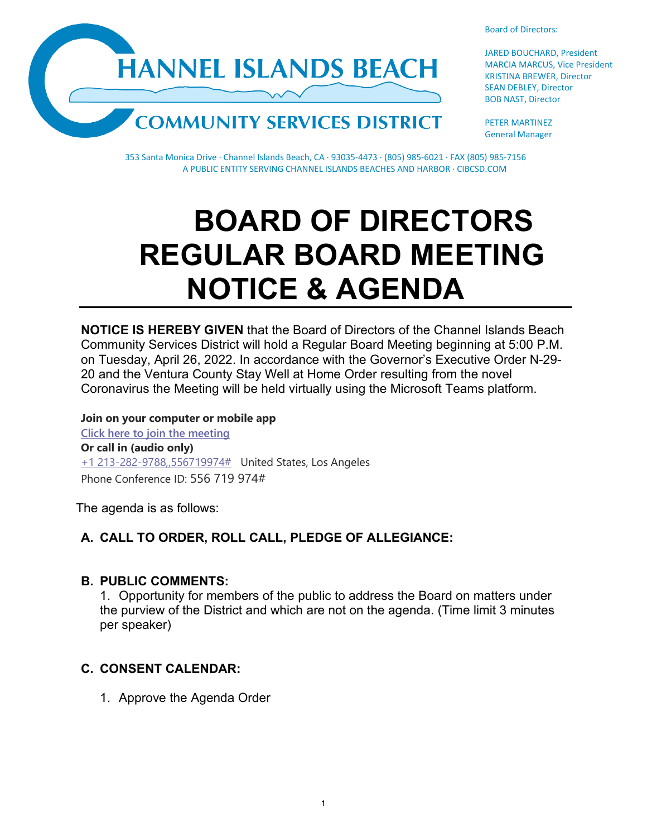**HANNEL ISLANDS BEACH** 



JARED BOUCHARD, President MARCIA MARCUS, Vice President KRISTINA BREWER, Director SEAN DEBLEY, Director BOB NAST, Director

PETER MARTINEZ General Manager

353 Santa Monica Drive · Channel Islands Beach, CA · 93035-4473 · (805) 985-6021 · FAX (805) 985-7156 A PUBLIC ENTITY SERVING CHANNEL ISLANDS BEACHES AND HARBOR · CIBCSD.COM

# **BOARD OF DIRECTORS REGULAR BOARD MEETING NOTICE & AGENDA**

**NOTICE IS HEREBY GIVEN** that the Board of Directors of the Channel Islands Beach Community Services District will hold a Regular Board Meeting beginning at 5:00 P.M. on Tuesday, April 26, 2022. In accordance with the Governor's Executive Order N-29- 20 and the Ventura County Stay Well at Home Order resulting from the novel Coronavirus the Meeting will be held virtually using the Microsoft Teams platform.

**Join on your computer or mobile app [Click here to join the meeting](https://teams.microsoft.com/l/meetup-join/19%3ameeting_ZmIyZTEzNTEtMzA1NC00NjViLThjNGQtMjFhNDU5MGM4YjQy%40thread.v2/0?context=%7b%22Tid%22%3a%22f7fe391d-f807-4915-a885-600f7b21c060%22%2c%22Oid%22%3a%22a1ff9a26-d5c6-43de-8ae2-ea53c9efed90%22%7d) Or call in (audio only)** [+1 213-282-9788,,556719974#](tel:+12132829788,,556719974#%20) United States, Los Angeles Phone Conference ID: 556 719 974#

The agenda is as follows:

# **A. CALL TO ORDER, ROLL CALL, PLEDGE OF ALLEGIANCE:**

## **B. PUBLIC COMMENTS:**

1. Opportunity for members of the public to address the Board on matters under the purview of the District and which are not on the agenda. (Time limit 3 minutes per speaker)

# **C. CONSENT CALENDAR:**

1. Approve the Agenda Order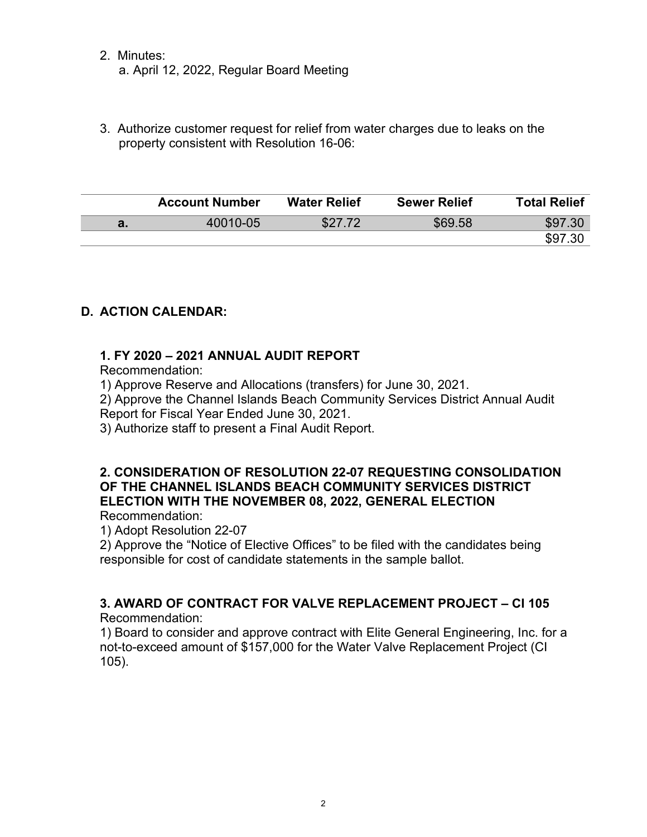- 2. Minutes: a. April 12, 2022, Regular Board Meeting
- 3. Authorize customer request for relief from water charges due to leaks on the property consistent with Resolution 16-06:

|    | <b>Account Number</b> | <b>Water Relief</b> | <b>Sewer Relief</b> | <b>Total Relief</b> |
|----|-----------------------|---------------------|---------------------|---------------------|
| а. | 40010-05              | \$27.72             | \$69.58             | \$97.30             |
|    |                       |                     |                     | \$97.30             |

# **D. ACTION CALENDAR:**

## **1. FY 2020 – 2021 ANNUAL AUDIT REPORT**

Recommendation:

1) Approve Reserve and Allocations (transfers) for June 30, 2021.

2) Approve the Channel Islands Beach Community Services District Annual Audit

Report for Fiscal Year Ended June 30, 2021.

3) Authorize staff to present a Final Audit Report.

#### **2. CONSIDERATION OF RESOLUTION 22-07 REQUESTING CONSOLIDATION OF THE CHANNEL ISLANDS BEACH COMMUNITY SERVICES DISTRICT ELECTION WITH THE NOVEMBER 08, 2022, GENERAL ELECTION** Recommendation:

1) Adopt Resolution 22-07

2) Approve the "Notice of Elective Offices" to be filed with the candidates being responsible for cost of candidate statements in the sample ballot.

# **3. AWARD OF CONTRACT FOR VALVE REPLACEMENT PROJECT – CI 105**

Recommendation:

1) Board to consider and approve contract with Elite General Engineering, Inc. for a not-to-exceed amount of \$157,000 for the Water Valve Replacement Project (CI 105).